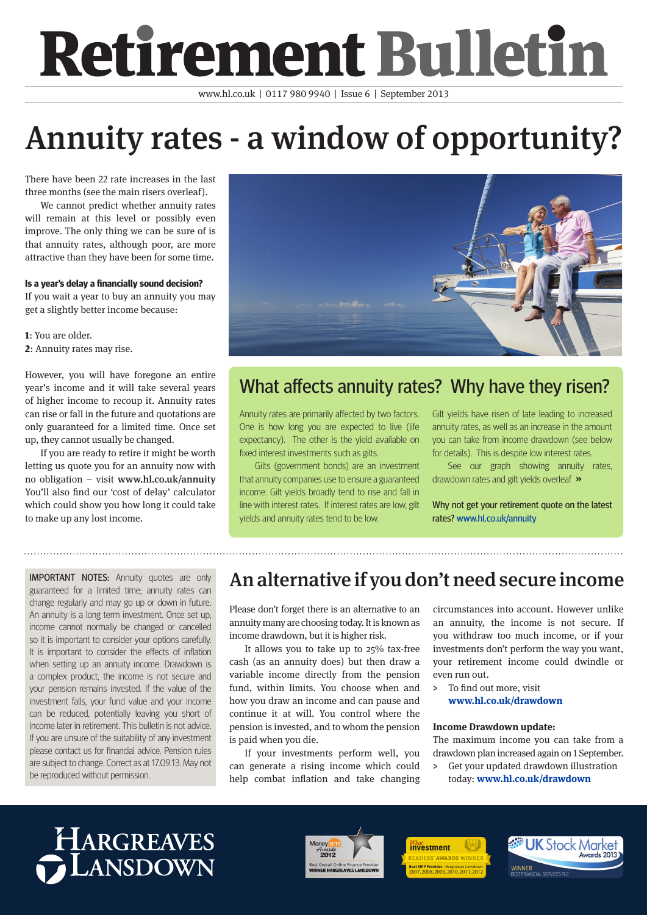# **Retirement Bulletin**

www.hl.co.uk | 0117 980 9940 | Issue 6 | September 2013

# Annuity rates - a window of opportunity?

There have been 22 rate increases in the last three months (see the main risers overleaf).

We cannot predict whether annuity rates will remain at this level or possibly even improve. The only thing we can be sure of is that annuity rates, although poor, are more attractive than they have been for some time.

### **Is a year's delay a financially sound decision?**

If you wait a year to buy an annuity you may get a slightly better income because:

1: You are older. 2: Annuity rates may rise.

However, you will have foregone an entire year's income and it will take several years of higher income to recoup it. Annuity rates can rise or fall in the future and quotations are only guaranteed for a limited time. Once set up, they cannot usually be changed.

If you are ready to retire it might be worth letting us quote you for an annuity now with no obligation – visit www.hl.co.uk/annuity You'll also find our 'cost of delay' calculator which could show you how long it could take to make up any lost income.



### What affects annuity rates? Why have they risen?

Annuity rates are primarily affected by two factors. One is how long you are expected to live (life expectancy). The other is the yield available on fixed interest investments such as gilts.

Gilts (government bonds) are an investment that annuity companies use to ensure a guaranteed income. Gilt yields broadly tend to rise and fall in line with interest rates. If interest rates are low, gilt yields and annuity rates tend to be low.

Gilt yields have risen of late leading to increased annuity rates, as well as an increase in the amount you can take from income drawdown (see below for details). This is despite low interest rates.

See our graph showing annuity rates, drawdown rates and gilt yields overleaf »

Why not get your retirement quote on the latest rates? www.hl.co.uk/annuity

change regularly and may go up or down in future. An annuity is a long term investment. Once set up, income cannot normally be changed or cancelled so it is important to consider your options carefully. It is important to consider the effects of inflation when setting up an annuity income. Drawdown is a complex product, the income is not secure and your pension remains invested. If the value of the investment falls, your fund value and your income can be reduced, potentially leaving you short of income later in retirement. This bulletin is not advice. If you are unsure of the suitability of any investment please contact us for financial advice. Pension rules are subject to change. Correct as at 17.09.13. May not be reproduced without permission.

### IMPORTANT NOTES: Annuity quotes are only **An alternative if you don't need secure income**

Please don't forget there is an alternative to an annuity many are choosing today. It is known as income drawdown, but it is higher risk.

It allows you to take up to 25% tax-free cash (as an annuity does) but then draw a variable income directly from the pension fund, within limits. You choose when and how you draw an income and can pause and continue it at will. You control where the pension is invested, and to whom the pension is paid when you die.

If your investments perform well, you can generate a rising income which could help combat inflation and take changing circumstances into account. However unlike an annuity, the income is not secure. If you withdraw too much income, or if your investments don't perform the way you want, your retirement income could dwindle or even run out.

> To find out more, visit **www.hl.co.uk/drawdown**

#### **Income Drawdown update:**

The maximum income you can take from a drawdown plan increased again on 1 September.

> Get your updated drawdown illustration today: **www.hl.co.uk/drawdown**

## HARGREAVES **ANSDOWN**



*investment* **Best SIPP Provider** - Hargreaves Lansdown 2007, 2008, 2009, 2010, 2011, 2012